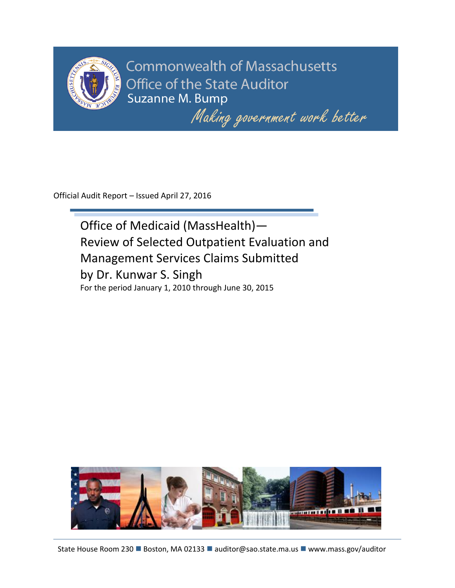

**Commonwealth of Massachusetts Office of the State Auditor** Suzanne M. Bump

Making government work better

Official Audit Report – Issued April 27, 2016

Office of Medicaid (MassHealth)— Review of Selected Outpatient Evaluation and Management Services Claims Submitted by Dr. Kunwar S. Singh For the period January 1, 2010 through June 30, 2015

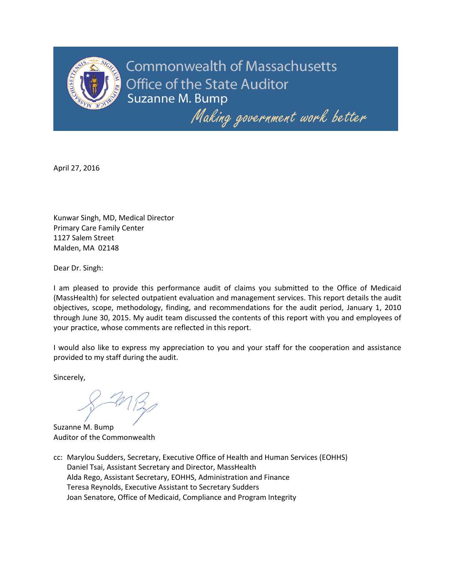

**Commonwealth of Massachusetts Office of the State Auditor Suzanne M. Bump** 

Making government work better

April 27, 2016

Kunwar Singh, MD, Medical Director Primary Care Family Center 1127 Salem Street Malden, MA 02148

Dear Dr. Singh:

I am pleased to provide this performance audit of claims you submitted to the Office of Medicaid (MassHealth) for selected outpatient evaluation and management services. This report details the audit objectives, scope, methodology, finding, and recommendations for the audit period, January 1, 2010 through June 30, 2015. My audit team discussed the contents of this report with you and employees of your practice, whose comments are reflected in this report.

I would also like to express my appreciation to you and your staff for the cooperation and assistance provided to my staff during the audit.

Sincerely,

Suzanne M. Bump Auditor of the Commonwealth

cc: Marylou Sudders, Secretary, Executive Office of Health and Human Services (EOHHS) Daniel Tsai, Assistant Secretary and Director, MassHealth Alda Rego, Assistant Secretary, EOHHS, Administration and Finance Teresa Reynolds, Executive Assistant to Secretary Sudders Joan Senatore, Office of Medicaid, Compliance and Program Integrity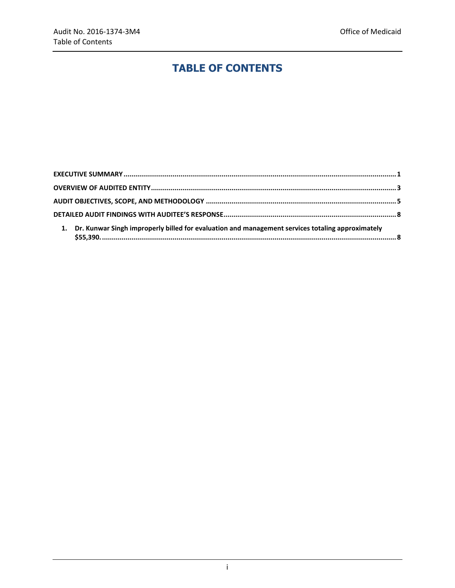# **TABLE OF CONTENTS**

| 1. Dr. Kunwar Singh improperly billed for evaluation and management services totaling approximately |  |
|-----------------------------------------------------------------------------------------------------|--|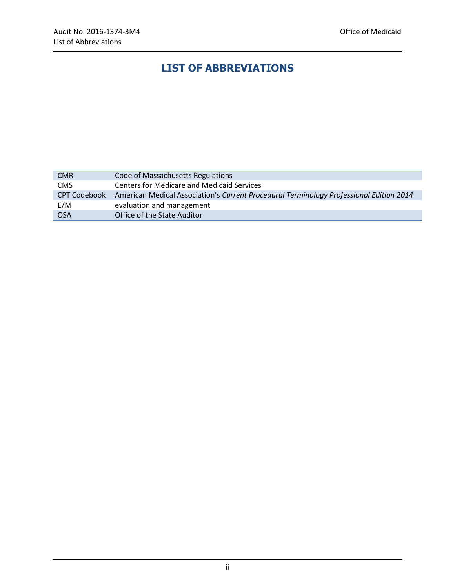# **LIST OF ABBREVIATIONS**

| <b>CMR</b>   | Code of Massachusetts Regulations                                                       |  |  |
|--------------|-----------------------------------------------------------------------------------------|--|--|
| <b>CMS</b>   | <b>Centers for Medicare and Medicaid Services</b>                                       |  |  |
| CPT Codebook | American Medical Association's Current Procedural Terminology Professional Edition 2014 |  |  |
| E/M          | evaluation and management                                                               |  |  |
| <b>OSA</b>   | Office of the State Auditor                                                             |  |  |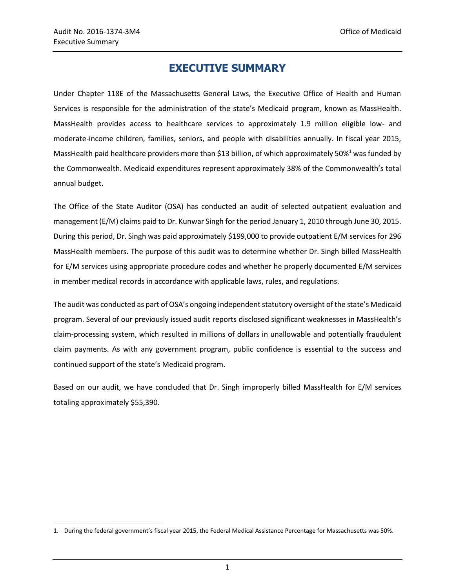$\overline{a}$ 

## **EXECUTIVE SUMMARY**

<span id="page-4-0"></span>Under Chapter 118E of the Massachusetts General Laws, the Executive Office of Health and Human Services is responsible for the administration of the state's Medicaid program, known as MassHealth. MassHealth provides access to healthcare services to approximately 1.9 million eligible low- and moderate-income children, families, seniors, and people with disabilities annually. In fiscal year 2015, MassHealth paid healthcare providers more than \$13 billion, of which approximately 50%<sup>1</sup> was funded by the Commonwealth. Medicaid expenditures represent approximately 38% of the Commonwealth's total annual budget.

The Office of the State Auditor (OSA) has conducted an audit of selected outpatient evaluation and management (E/M) claims paid to Dr. Kunwar Singh for the period January 1, 2010 through June 30, 2015. During this period, Dr. Singh was paid approximately \$199,000 to provide outpatient E/M services for 296 MassHealth members. The purpose of this audit was to determine whether Dr. Singh billed MassHealth for E/M services using appropriate procedure codes and whether he properly documented E/M services in member medical records in accordance with applicable laws, rules, and regulations.

The audit was conducted as part of OSA's ongoing independent statutory oversight of the state's Medicaid program. Several of our previously issued audit reports disclosed significant weaknesses in MassHealth's claim-processing system, which resulted in millions of dollars in unallowable and potentially fraudulent claim payments. As with any government program, public confidence is essential to the success and continued support of the state's Medicaid program.

Based on our audit, we have concluded that Dr. Singh improperly billed MassHealth for E/M services totaling approximately \$55,390.

<sup>1.</sup> During the federal government's fiscal year 2015, the Federal Medical Assistance Percentage for Massachusetts was 50%.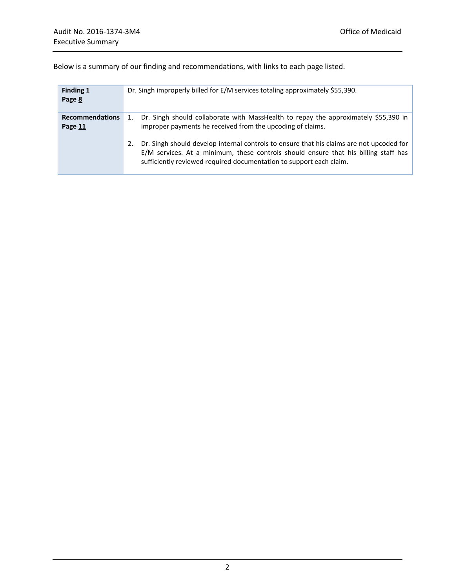| Finding 1<br>Page 8               | Dr. Singh improperly billed for E/M services totaling approximately \$55,390.                                                                                                                                                                                |
|-----------------------------------|--------------------------------------------------------------------------------------------------------------------------------------------------------------------------------------------------------------------------------------------------------------|
| <b>Recommendations</b><br>Page 11 | 1. Dr. Singh should collaborate with MassHealth to repay the approximately \$55,390 in<br>improper payments he received from the upcoding of claims.                                                                                                         |
|                                   | Dr. Singh should develop internal controls to ensure that his claims are not upcoded for<br>2.<br>E/M services. At a minimum, these controls should ensure that his billing staff has<br>sufficiently reviewed required documentation to support each claim. |

Below is a summary of our finding and recommendations, with links to each page listed.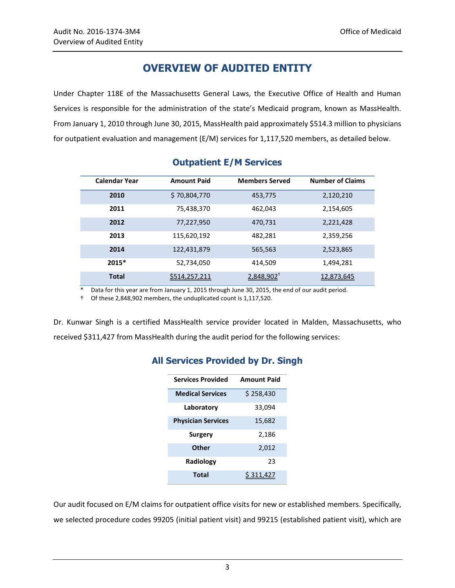## **OVERVIEW OF AUDITED ENTITY**

<span id="page-6-0"></span>Under Chapter 118E of the Massachusetts General Laws, the Executive Office of Health and Human Services is responsible for the administration of the state's Medicaid program, known as MassHealth. From January 1, 2010 through June 30, 2015, MassHealth paid approximately \$514.3 million to physicians for outpatient evaluation and management (E/M) services for 1,117,520 members, as detailed below.

| <b>Calendar Year</b> | <b>Amount Paid</b> | <b>Members Served</b>    | <b>Number of Claims</b> |
|----------------------|--------------------|--------------------------|-------------------------|
| 2010                 | \$70,804,770       | 453,775                  | 2,120,210               |
| 2011                 | 75,438,370         | 462,043                  | 2,154,605               |
| 2012                 | 77,227,950         | 470,731                  | 2,221,428               |
| 2013                 | 115,620,192        | 482,281                  | 2,359,256               |
| 2014                 | 122,431,879        | 565,563                  | 2,523,865               |
| $2015*$              | 52,734,050         | 414,509                  | 1,494,281               |
| <b>Total</b>         | \$514,257,211      | $2,848,902$ <sup>+</sup> | 12,873,645              |

## **Outpatient E/M Services**

\* Data for this year are from January 1, 2015 through June 30, 2015, the end of our audit period.

† Of these 2,848,902 members, the unduplicated count is 1,117,520.

Dr. Kunwar Singh is a certified MassHealth service provider located in Malden, Massachusetts, who received \$311,427 from MassHealth during the audit period for the following services:

| <b>Services Provided</b>  | <b>Amount Paid</b> |
|---------------------------|--------------------|
| <b>Medical Services</b>   | \$258,430          |
| Laboratory                | 33,094             |
| <b>Physician Services</b> | 15,682             |
| Surgery                   | 2,186              |
| Other                     | 2,012              |
| Radiology                 | 23                 |
| Total                     |                    |
|                           |                    |

## **All Services Provided by Dr. Singh**

Our audit focused on E/M claims for outpatient office visits for new or established members. Specifically, we selected procedure codes 99205 (initial patient visit) and 99215 (established patient visit), which are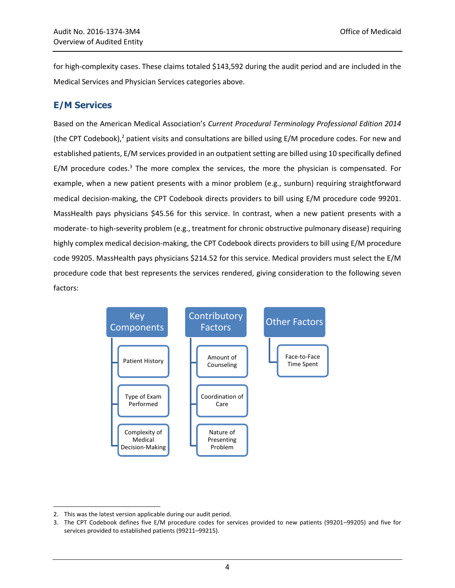for high-complexity cases. These claims totaled \$143,592 during the audit period and are included in the Medical Services and Physician Services categories above.

#### **E/M Services**

Based on the American Medical Association's *Current Procedural Terminology Professional Edition 2014* (the CPT Codebook), $^2$  patient visits and consultations are billed using E/M procedure codes. For new and established patients, E/M services provided in an outpatient setting are billed using 10 specifically defined E/M procedure codes.<sup>3</sup> The more complex the services, the more the physician is compensated. For example, when a new patient presents with a minor problem (e.g., sunburn) requiring straightforward medical decision-making, the CPT Codebook directs providers to bill using E/M procedure code 99201. MassHealth pays physicians \$45.56 for this service. In contrast, when a new patient presents with a moderate- to high-severity problem (e.g., treatment for chronic obstructive pulmonary disease) requiring highly complex medical decision-making, the CPT Codebook directs providers to bill using E/M procedure code 99205. MassHealth pays physicians \$214.52 for this service. Medical providers must select the E/M procedure code that best represents the services rendered, giving consideration to the following seven factors:



 $\overline{a}$ 2. This was the latest version applicable during our audit period.

<sup>3.</sup> The CPT Codebook defines five E/M procedure codes for services provided to new patients (99201–99205) and five for services provided to established patients (99211–99215).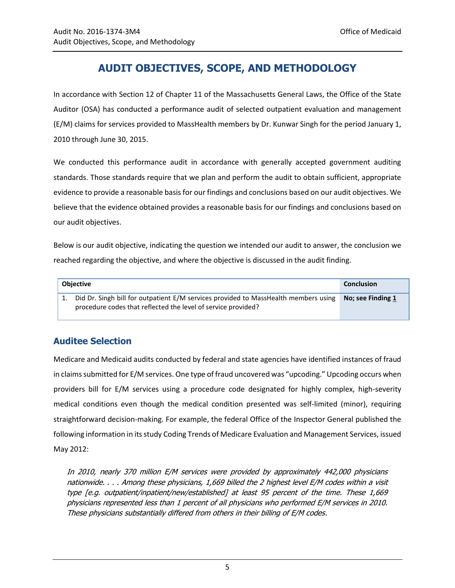# **AUDIT OBJECTIVES, SCOPE, AND METHODOLOGY**

<span id="page-8-0"></span>In accordance with Section 12 of Chapter 11 of the Massachusetts General Laws, the Office of the State Auditor (OSA) has conducted a performance audit of selected outpatient evaluation and management (E/M) claims for services provided to MassHealth members by Dr. Kunwar Singh for the period January 1, 2010 through June 30, 2015.

We conducted this performance audit in accordance with generally accepted government auditing standards. Those standards require that we plan and perform the audit to obtain sufficient, appropriate evidence to provide a reasonable basis for our findings and conclusions based on our audit objectives. We believe that the evidence obtained provides a reasonable basis for our findings and conclusions based on our audit objectives.

Below is our audit objective, indicating the question we intended our audit to answer, the conclusion we reached regarding the objective, and where the objective is discussed in the audit finding.

| <b>Objective</b>                                                                                                                                     | <b>Conclusion</b> |
|------------------------------------------------------------------------------------------------------------------------------------------------------|-------------------|
| Did Dr. Singh bill for outpatient E/M services provided to MassHealth members using<br>procedure codes that reflected the level of service provided? | No; see Finding 1 |

## **Auditee Selection**

Medicare and Medicaid audits conducted by federal and state agencies have identified instances of fraud in claims submitted for E/M services. One type of fraud uncovered was "upcoding." Upcoding occurs when providers bill for E/M services using a procedure code designated for highly complex, high-severity medical conditions even though the medical condition presented was self-limited (minor), requiring straightforward decision-making. For example, the federal Office of the Inspector General published the following information in its study Coding Trends of Medicare Evaluation and Management Services, issued May 2012:

In 2010, nearly 370 million E/M services were provided by approximately 442,000 physicians nationwide. . . . Among these physicians, 1,669 billed the 2 highest level E/M codes within a visit type [e.g. outpatient/inpatient/new/established] at least 95 percent of the time. These 1,669 physicians represented less than 1 percent of all physicians who performed E/M services in 2010. These physicians substantially differed from others in their billing of E/M codes.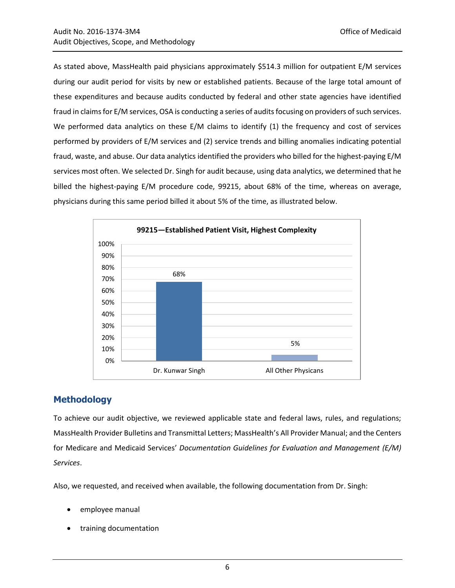As stated above, MassHealth paid physicians approximately \$514.3 million for outpatient E/M services during our audit period for visits by new or established patients. Because of the large total amount of these expenditures and because audits conducted by federal and other state agencies have identified fraud in claims for E/M services, OSA is conducting a series of audits focusing on providers of such services. We performed data analytics on these E/M claims to identify (1) the frequency and cost of services performed by providers of E/M services and (2) service trends and billing anomalies indicating potential fraud, waste, and abuse. Our data analytics identified the providers who billed for the highest-paying E/M services most often. We selected Dr. Singh for audit because, using data analytics, we determined that he billed the highest-paying E/M procedure code, 99215, about 68% of the time, whereas on average, physicians during this same period billed it about 5% of the time, as illustrated below.



#### **Methodology**

To achieve our audit objective, we reviewed applicable state and federal laws, rules, and regulations; MassHealth Provider Bulletins and Transmittal Letters; MassHealth's All Provider Manual; and the Centers for Medicare and Medicaid Services' *Documentation Guidelines for Evaluation and Management (E/M) Services*.

Also, we requested, and received when available, the following documentation from Dr. Singh:

- employee manual
- training documentation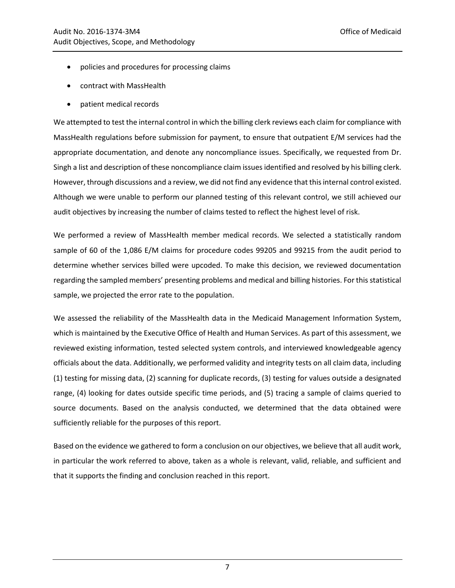- policies and procedures for processing claims
- contract with MassHealth
- patient medical records

We attempted to test the internal control in which the billing clerk reviews each claim for compliance with MassHealth regulations before submission for payment, to ensure that outpatient E/M services had the appropriate documentation, and denote any noncompliance issues. Specifically, we requested from Dr. Singh a list and description of these noncompliance claim issues identified and resolved by his billing clerk. However, through discussions and a review, we did not find any evidence that this internal control existed. Although we were unable to perform our planned testing of this relevant control, we still achieved our audit objectives by increasing the number of claims tested to reflect the highest level of risk.

We performed a review of MassHealth member medical records. We selected a statistically random sample of 60 of the 1,086 E/M claims for procedure codes 99205 and 99215 from the audit period to determine whether services billed were upcoded. To make this decision, we reviewed documentation regarding the sampled members' presenting problems and medical and billing histories. For this statistical sample, we projected the error rate to the population.

We assessed the reliability of the MassHealth data in the Medicaid Management Information System, which is maintained by the Executive Office of Health and Human Services. As part of this assessment, we reviewed existing information, tested selected system controls, and interviewed knowledgeable agency officials about the data. Additionally, we performed validity and integrity tests on all claim data, including (1) testing for missing data, (2) scanning for duplicate records, (3) testing for values outside a designated range, (4) looking for dates outside specific time periods, and (5) tracing a sample of claims queried to source documents. Based on the analysis conducted, we determined that the data obtained were sufficiently reliable for the purposes of this report.

Based on the evidence we gathered to form a conclusion on our objectives, we believe that all audit work, in particular the work referred to above, taken as a whole is relevant, valid, reliable, and sufficient and that it supports the finding and conclusion reached in this report.

7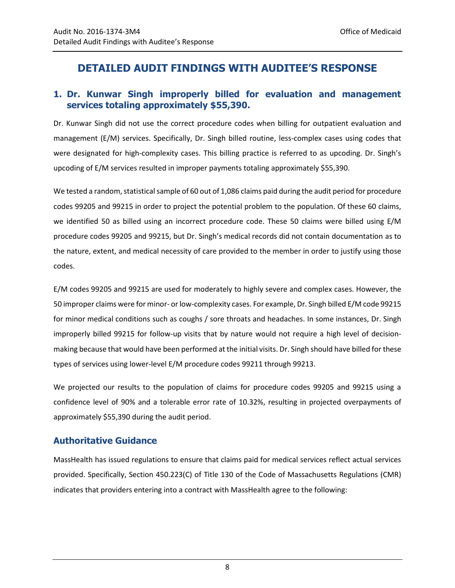## <span id="page-11-0"></span>**DETAILED AUDIT FINDINGS WITH AUDITEE'S RESPONSE**

#### <span id="page-11-1"></span>**1. Dr. Kunwar Singh improperly billed for evaluation and management services totaling approximately \$55,390.**

Dr. Kunwar Singh did not use the correct procedure codes when billing for outpatient evaluation and management (E/M) services. Specifically, Dr. Singh billed routine, less-complex cases using codes that were designated for high-complexity cases. This billing practice is referred to as upcoding. Dr. Singh's upcoding of E/M services resulted in improper payments totaling approximately \$55,390.

We tested a random, statistical sample of 60 out of 1,086 claims paid during the audit period for procedure codes 99205 and 99215 in order to project the potential problem to the population. Of these 60 claims, we identified 50 as billed using an incorrect procedure code. These 50 claims were billed using E/M procedure codes 99205 and 99215, but Dr. Singh's medical records did not contain documentation as to the nature, extent, and medical necessity of care provided to the member in order to justify using those codes.

E/M codes 99205 and 99215 are used for moderately to highly severe and complex cases. However, the 50 improper claims were for minor- or low-complexity cases. For example, Dr. Singh billed E/M code 99215 for minor medical conditions such as coughs / sore throats and headaches. In some instances, Dr. Singh improperly billed 99215 for follow-up visits that by nature would not require a high level of decisionmaking because that would have been performed at the initial visits. Dr. Singh should have billed for these types of services using lower-level E/M procedure codes 99211 through 99213.

We projected our results to the population of claims for procedure codes 99205 and 99215 using a confidence level of 90% and a tolerable error rate of 10.32%, resulting in projected overpayments of approximately \$55,390 during the audit period.

#### **Authoritative Guidance**

MassHealth has issued regulations to ensure that claims paid for medical services reflect actual services provided. Specifically, Section 450.223(C) of Title 130 of the Code of Massachusetts Regulations (CMR) indicates that providers entering into a contract with MassHealth agree to the following: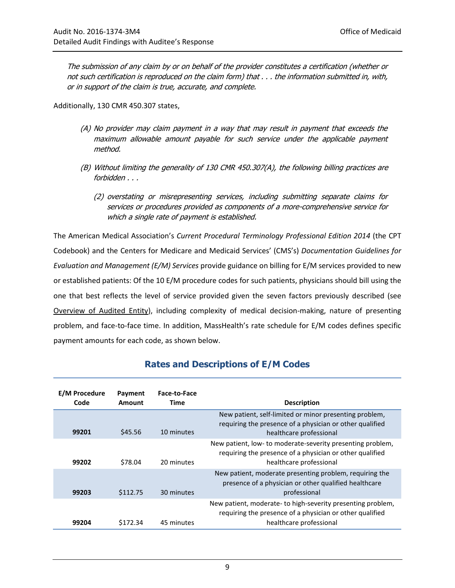The submission of any claim by or on behalf of the provider constitutes a certification (whether or not such certification is reproduced on the claim form) that . . . the information submitted in, with, or in support of the claim is true, accurate, and complete.

Additionally, 130 CMR 450.307 states,

- (A) No provider may claim payment in a way that may result in payment that exceeds the maximum allowable amount payable for such service under the applicable payment method.
- (B) Without limiting the generality of 130 CMR 450.307(A), the following billing practices are forbidden . . .
	- (2) overstating or misrepresenting services, including submitting separate claims for services or procedures provided as components of a more-comprehensive service for which a single rate of payment is established.

The American Medical Association's *Current Procedural Terminology Professional Edition 2014* (the CPT Codebook) and the Centers for Medicare and Medicaid Services' (CMS's) *Documentation Guidelines for Evaluation and Management (E/M) Services* provide guidance on billing for E/M services provided to new or established patients: Of the 10 E/M procedure codes for such patients, physicians should bill using the one that best reflects the level of service provided given the seven factors previously described (see [Overview of Audited Entity\)](#page-6-0), including complexity of medical decision-making, nature of presenting problem, and face-to-face time. In addition, MassHealth's rate schedule for E/M codes defines specific payment amounts for each code, as shown below.

| <b>E/M Procedure</b><br>Code | Payment<br>Amount | Face-to-Face<br>Time | <b>Description</b>                                                                                                                                 |
|------------------------------|-------------------|----------------------|----------------------------------------------------------------------------------------------------------------------------------------------------|
| 99201                        | \$45.56           | 10 minutes           | New patient, self-limited or minor presenting problem,<br>requiring the presence of a physician or other qualified<br>healthcare professional      |
| 99202                        | \$78.04           | 20 minutes           | New patient, low- to moderate-severity presenting problem,<br>requiring the presence of a physician or other qualified<br>healthcare professional  |
| 99203                        | \$112.75          | 30 minutes           | New patient, moderate presenting problem, requiring the<br>presence of a physician or other qualified healthcare<br>professional                   |
| 99204                        | \$172.34          | 45 minutes           | New patient, moderate- to high-severity presenting problem,<br>requiring the presence of a physician or other qualified<br>healthcare professional |

## **Rates and Descriptions of E/M Codes**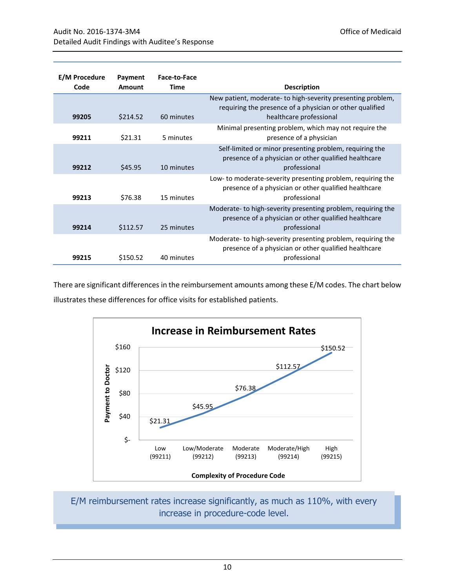| <b>E/M Procedure</b><br>Code | Payment<br>Amount | Face-to-Face<br>Time | <b>Description</b>                                                                                                                    |
|------------------------------|-------------------|----------------------|---------------------------------------------------------------------------------------------------------------------------------------|
|                              |                   |                      | New patient, moderate- to high-severity presenting problem,<br>requiring the presence of a physician or other qualified               |
| 99205                        | \$214.52          | 60 minutes           | healthcare professional                                                                                                               |
| 99211                        | \$21.31           | 5 minutes            | Minimal presenting problem, which may not require the<br>presence of a physician                                                      |
| 99212                        | \$45.95           | 10 minutes           | Self-limited or minor presenting problem, requiring the<br>presence of a physician or other qualified healthcare<br>professional      |
| 99213                        | \$76.38           | 15 minutes           | Low- to moderate-severity presenting problem, requiring the<br>presence of a physician or other qualified healthcare<br>professional  |
| 99214                        | \$112.57          | 25 minutes           | Moderate- to high-severity presenting problem, requiring the<br>presence of a physician or other qualified healthcare<br>professional |
| 99215                        | \$150.52          | 40 minutes           | Moderate-to high-severity presenting problem, requiring the<br>presence of a physician or other qualified healthcare<br>professional  |

There are significant differences in the reimbursement amounts among these E/M codes. The chart below illustrates these differences for office visits for established patients.



E/M reimbursement rates increase significantly, as much as 110%, with every increase in procedure-code level.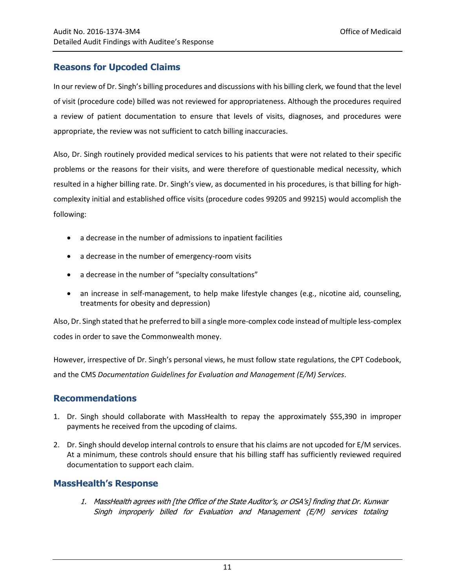## **Reasons for Upcoded Claims**

In our review of Dr. Singh's billing procedures and discussions with his billing clerk, we found that the level of visit (procedure code) billed was not reviewed for appropriateness. Although the procedures required a review of patient documentation to ensure that levels of visits, diagnoses, and procedures were appropriate, the review was not sufficient to catch billing inaccuracies.

Also, Dr. Singh routinely provided medical services to his patients that were not related to their specific problems or the reasons for their visits, and were therefore of questionable medical necessity, which resulted in a higher billing rate. Dr. Singh's view, as documented in his procedures, is that billing for highcomplexity initial and established office visits (procedure codes 99205 and 99215) would accomplish the following:

- a decrease in the number of admissions to inpatient facilities
- a decrease in the number of emergency-room visits
- a decrease in the number of "specialty consultations"
- an increase in self-management, to help make lifestyle changes (e.g., nicotine aid, counseling, treatments for obesity and depression)

Also, Dr. Singh stated that he preferred to bill a single more-complex code instead of multiple less-complex codes in order to save the Commonwealth money.

However, irrespective of Dr. Singh's personal views, he must follow state regulations, the CPT Codebook, and the CMS *Documentation Guidelines for Evaluation and Management (E/M) Services*.

#### <span id="page-14-0"></span>**Recommendations**

- 1. Dr. Singh should collaborate with MassHealth to repay the approximately \$55,390 in improper payments he received from the upcoding of claims.
- 2. Dr. Singh should develop internal controls to ensure that his claims are not upcoded for E/M services. At a minimum, these controls should ensure that his billing staff has sufficiently reviewed required documentation to support each claim.

#### **MassHealth's Response**

1. MassHealth agrees with [the Office of the State Auditor's, or OSA's] finding that Dr. Kunwar Singh improperly billed for Evaluation and Management (E/M) services totaling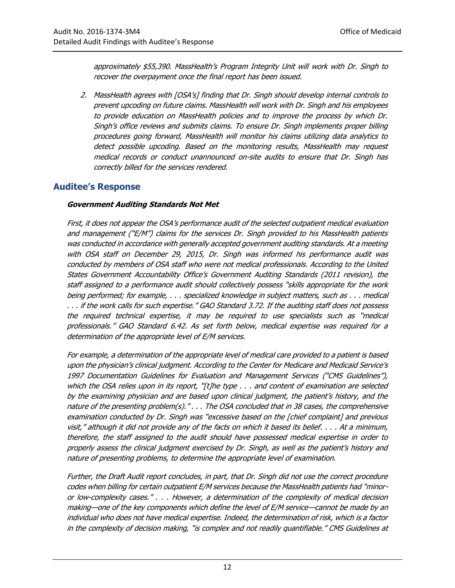approximately \$55,390. MassHealth's Program Integrity Unit will work with Dr. Singh to recover the overpayment once the final report has been issued.

2. MassHealth agrees with [OSA's] finding that Dr. Singh should develop internal controls to prevent upcoding on future claims. MassHealth will work with Dr. Singh and his employees to provide education on MassHealth policies and to improve the process by which Dr. Singh's office reviews and submits claims. To ensure Dr. Singh implements proper billing procedures going forward, MassHealth will monitor his claims utilizing data analytics to detect possible upcoding. Based on the monitoring results, MassHealth may request medical records or conduct unannounced on-site audits to ensure that Dr. Singh has correctly billed for the services rendered.

#### **Auditee's Response**

#### **Government Auditing Standards Not Met**

First, it does not appear the OSA's performance audit of the selected outpatient medical evaluation and management ("E/M") claims for the services Dr. Singh provided to his MassHealth patients was conducted in accordance with generally accepted government auditing standards. At a meeting with OSA staff on December 29, 2015, Dr. Singh was informed his performance audit was conducted by members of OSA staff who were not medical professionals. According to the United States Government Accountability Office's Government Auditing Standards (2011 revision), the staff assigned to a performance audit should collectively possess "skills appropriate for the work being performed; for example, . . . specialized knowledge in subject matters, such as . . . medical . . . if the work calls for such expertise." GAO Standard 3.72. If the auditing staff does not possess the required technical expertise, it may be required to use specialists such as "medical professionals." GAO Standard 6.42. As set forth below, medical expertise was required for a determination of the appropriate level of E/M services.

For example, a determination of the appropriate level of medical care provided to a patient is based upon the physician's clinical judgment. According to the Center for Medicare and Medicaid Service's 1997 Documentation Guidelines for Evaluation and Management Services ("CMS Guidelines"), which the OSA relies upon in its report, "[t]he type  $\ldots$  and content of examination are selected by the examining physician and are based upon clinical judgment, the patient's history, and the nature of the presenting problem(s)." . . . The OSA concluded that in 38 cases, the comprehensive examination conducted by Dr. Singh was "excessive based on the [chief complaint] and previous visit," although it did not provide any of the facts on which it based its belief. . . . At a minimum, therefore, the staff assigned to the audit should have possessed medical expertise in order to properly assess the clinical judgment exercised by Dr. Singh, as well as the patient's history and nature of presenting problems, to determine the appropriate level of examination.

Further, the Draft Audit report concludes, in part, that Dr. Singh did not use the correct procedure codes when billing for certain outpatient E/M services because the MassHealth patients had "minoror low-complexity cases." . . . However, a determination of the complexity of medical decision making—one of the key components which define the level of E/M service—cannot be made by an individual who does not have medical expertise. Indeed, the determination of risk, which is a factor in the complexity of decision making, "is complex and not readily quantifiable." CMS Guidelines at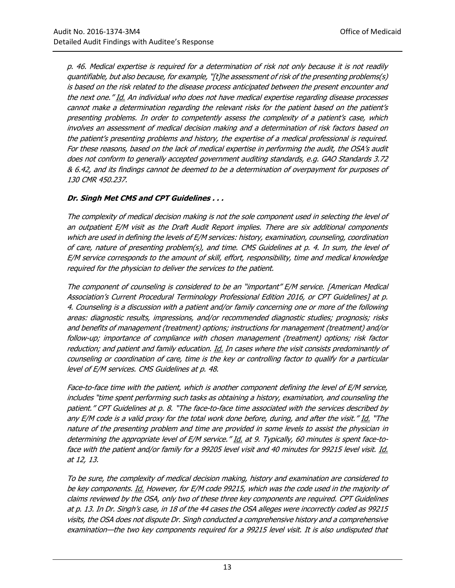p. 46. Medical expertise is required for a determination of risk not only because it is not readily quantifiable, but also because, for example, "[t]he assessment of risk of the presenting problems(s) is based on the risk related to the disease process anticipated between the present encounter and the next one." Id. An individual who does not have medical expertise regarding disease processes cannot make a determination regarding the relevant risks for the patient based on the patient's presenting problems. In order to competently assess the complexity of a patient's case, which involves an assessment of medical decision making and a determination of risk factors based on the patient's presenting problems and history, the expertise of a medical professional is required. For these reasons, based on the lack of medical expertise in performing the audit, the OSA's audit does not conform to generally accepted government auditing standards, e.g. GAO Standards 3.72 & 6.42, and its findings cannot be deemed to be a determination of overpayment for purposes of 130 CMR 450.237.

#### **Dr. Singh Met CMS and CPT Guidelines . . .**

The complexity of medical decision making is not the sole component used in selecting the level of an outpatient E/M visit as the Draft Audit Report implies. There are six additional components which are used in defining the levels of E/M services: history, examination, counseling, coordination of care, nature of presenting problem(s), and time. CMS Guidelines at p. 4. In sum, the level of E/M service corresponds to the amount of skill, effort, responsibility, time and medical knowledge required for the physician to deliver the services to the patient.

The component of counseling is considered to be an "important" E/M service. [American Medical Association's Current Procedural Terminology Professional Edition 2016, or CPT Guidelines] at p. 4. Counseling is a discussion with a patient and/or family concerning one or more of the following areas: diagnostic results, impressions, and/or recommended diagnostic studies; prognosis; risks and benefits of management (treatment) options; instructions for management (treatment) and/or follow-up; importance of compliance with chosen management (treatment) options; risk factor reduction; and patient and family education. Id. In cases where the visit consists predominantly of counseling or coordination of care, time is the key or controlling factor to qualify for a particular level of E/M services. CMS Guidelines at p. 48.

Face-to-face time with the patient, which is another component defining the level of E/M service, includes "time spent performing such tasks as obtaining a history, examination, and counseling the patient." CPT Guidelines at p. 8. "The face-to-face time associated with the services described by any E/M code is a valid proxy for the total work done before, during, and after the visit." Id. "The nature of the presenting problem and time are provided in some levels to assist the physician in determining the appropriate level of E/M service." Id. at 9. Typically, 60 minutes is spent face-toface with the patient and/or family for a 99205 level visit and 40 minutes for 99215 level visit. Id. at 12, 13.

To be sure, the complexity of medical decision making, history and examination are considered to be key components. Id. However, for E/M code 99215, which was the code used in the majority of claims reviewed by the OSA, only two of these three key components are required. CPT Guidelines at p. 13. In Dr. Singh's case, in 18 of the 44 cases the OSA alleges were incorrectly coded as 99215 visits, the OSA does not dispute Dr. Singh conducted a comprehensive history and a comprehensive examination—the two key components required for a 99215 level visit. It is also undisputed that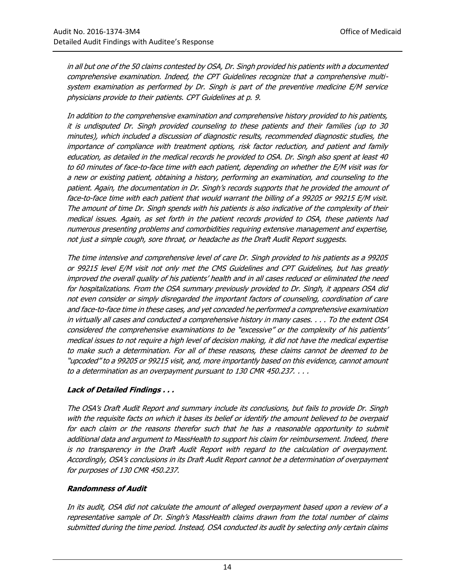in all but one of the 50 claims contested by OSA, Dr. Singh provided his patients with a documented comprehensive examination. Indeed, the CPT Guidelines recognize that a comprehensive multisystem examination as performed by Dr. Singh is part of the preventive medicine E/M service physicians provide to their patients. CPT Guidelines at p. 9.

In addition to the comprehensive examination and comprehensive history provided to his patients, it is undisputed Dr. Singh provided counseling to these patients and their families (up to 30 minutes), which included a discussion of diagnostic results, recommended diagnostic studies, the importance of compliance with treatment options, risk factor reduction, and patient and family education, as detailed in the medical records he provided to OSA. Dr. Singh also spent at least 40 to 60 minutes of face-to-face time with each patient, depending on whether the E/M visit was for a new or existing patient, obtaining a history, performing an examination, and counseling to the patient. Again, the documentation in Dr. Singh's records supports that he provided the amount of face-to-face time with each patient that would warrant the billing of a 99205 or 99215 E/M visit. The amount of time Dr. Singh spends with his patients is also indicative of the complexity of their medical issues. Again, as set forth in the patient records provided to OSA, these patients had numerous presenting problems and comorbidities requiring extensive management and expertise, not just a simple cough, sore throat, or headache as the Draft Audit Report suggests.

The time intensive and comprehensive level of care Dr. Singh provided to his patients as a 99205 or 99215 level E/M visit not only met the CMS Guidelines and CPT Guidelines, but has greatly improved the overall quality of his patients' health and in all cases reduced or eliminated the need for hospitalizations. From the OSA summary previously provided to Dr. Singh, it appears OSA did not even consider or simply disregarded the important factors of counseling, coordination of care and face-to-face time in these cases, and yet conceded he performed a comprehensive examination in virtually all cases and conducted a comprehensive history in many cases. . . . To the extent OSA considered the comprehensive examinations to be "excessive" or the complexity of his patients' medical issues to not require a high level of decision making, it did not have the medical expertise to make such a determination. For all of these reasons, these claims cannot be deemed to be "upcoded" to a 99205 or 99215 visit, and, more importantly based on this evidence, cannot amount to a determination as an overpayment pursuant to 130 CMR 450.237. . . .

#### **Lack of Detailed Findings . . .**

The OSA's Draft Audit Report and summary include its conclusions, but fails to provide Dr. Singh with the requisite facts on which it bases its belief or identify the amount believed to be overpaid for each claim or the reasons therefor such that he has a reasonable opportunity to submit additional data and argument to MassHealth to support his claim for reimbursement. Indeed, there is no transparency in the Draft Audit Report with regard to the calculation of overpayment. Accordingly, OSA's conclusions in its Draft Audit Report cannot be a determination of overpayment for purposes of 130 CMR 450.237.

#### **Randomness of Audit**

In its audit, OSA did not calculate the amount of alleged overpayment based upon a review of a representative sample of Dr. Singh's MassHealth claims drawn from the total number of claims submitted during the time period. Instead, OSA conducted its audit by selecting only certain claims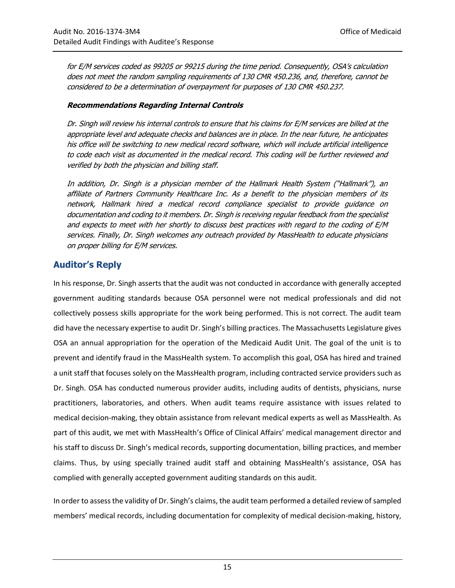for E/M services coded as 99205 or 99215 during the time period. Consequently, OSA's calculation does not meet the random sampling requirements of 130 CMR 450.236, and, therefore, cannot be considered to be a determination of overpayment for purposes of 130 CMR 450.237.

#### **Recommendations Regarding Internal Controls**

Dr. Singh will review his internal controls to ensure that his claims for E/M services are billed at the appropriate level and adequate checks and balances are in place. In the near future, he anticipates his office will be switching to new medical record software, which will include artificial intelligence to code each visit as documented in the medical record. This coding will be further reviewed and verified by both the physician and billing staff.

In addition, Dr. Singh is a physician member of the Hallmark Health System ("Hallmark"), an affiliate of Partners Community Healthcare Inc. As a benefit to the physician members of its network, Hallmark hired a medical record compliance specialist to provide guidance on documentation and coding to it members. Dr. Singh is receiving regular feedback from the specialist and expects to meet with her shortly to discuss best practices with regard to the coding of E/M services. Finally, Dr. Singh welcomes any outreach provided by MassHealth to educate physicians on proper billing for E/M services.

#### **Auditor's Reply**

In his response, Dr. Singh asserts that the audit was not conducted in accordance with generally accepted government auditing standards because OSA personnel were not medical professionals and did not collectively possess skills appropriate for the work being performed. This is not correct. The audit team did have the necessary expertise to audit Dr. Singh's billing practices. The Massachusetts Legislature gives OSA an annual appropriation for the operation of the Medicaid Audit Unit. The goal of the unit is to prevent and identify fraud in the MassHealth system. To accomplish this goal, OSA has hired and trained a unit staff that focuses solely on the MassHealth program, including contracted service providers such as Dr. Singh. OSA has conducted numerous provider audits, including audits of dentists, physicians, nurse practitioners, laboratories, and others. When audit teams require assistance with issues related to medical decision-making, they obtain assistance from relevant medical experts as well as MassHealth. As part of this audit, we met with MassHealth's Office of Clinical Affairs' medical management director and his staff to discuss Dr. Singh's medical records, supporting documentation, billing practices, and member claims. Thus, by using specially trained audit staff and obtaining MassHealth's assistance, OSA has complied with generally accepted government auditing standards on this audit.

In order to assess the validity of Dr. Singh's claims, the audit team performed a detailed review of sampled members' medical records, including documentation for complexity of medical decision-making, history,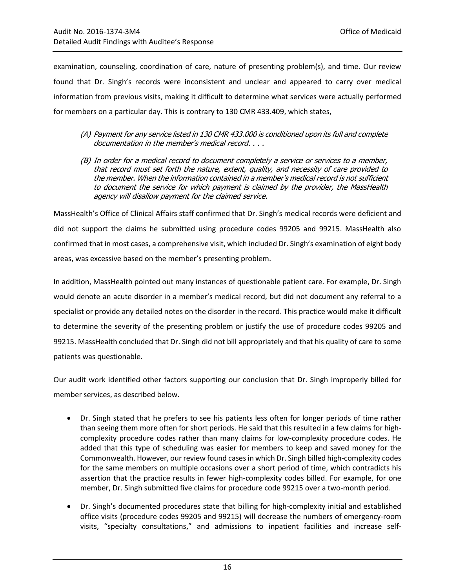examination, counseling, coordination of care, nature of presenting problem(s), and time. Our review found that Dr. Singh's records were inconsistent and unclear and appeared to carry over medical information from previous visits, making it difficult to determine what services were actually performed for members on a particular day. This is contrary to 130 CMR 433.409, which states,

- (A) Payment for any service listed in 130 CMR 433.000 is conditioned upon its full and complete documentation in the member's medical record. . . .
- (B) In order for a medical record to document completely a service or services to a member, that record must set forth the nature, extent, quality, and necessity of care provided to the member. When the information contained in a member's medical record is not sufficient to document the service for which payment is claimed by the provider, the MassHealth agency will disallow payment for the claimed service.

MassHealth's Office of Clinical Affairs staff confirmed that Dr. Singh's medical records were deficient and did not support the claims he submitted using procedure codes 99205 and 99215. MassHealth also confirmed that in most cases, a comprehensive visit, which included Dr. Singh's examination of eight body areas, was excessive based on the member's presenting problem.

In addition, MassHealth pointed out many instances of questionable patient care. For example, Dr. Singh would denote an acute disorder in a member's medical record, but did not document any referral to a specialist or provide any detailed notes on the disorder in the record. This practice would make it difficult to determine the severity of the presenting problem or justify the use of procedure codes 99205 and 99215. MassHealth concluded that Dr. Singh did not bill appropriately and that his quality of care to some patients was questionable.

Our audit work identified other factors supporting our conclusion that Dr. Singh improperly billed for member services, as described below.

- Dr. Singh stated that he prefers to see his patients less often for longer periods of time rather than seeing them more often for short periods. He said that this resulted in a few claims for highcomplexity procedure codes rather than many claims for low-complexity procedure codes. He added that this type of scheduling was easier for members to keep and saved money for the Commonwealth. However, our review found cases in which Dr. Singh billed high-complexity codes for the same members on multiple occasions over a short period of time, which contradicts his assertion that the practice results in fewer high-complexity codes billed. For example, for one member, Dr. Singh submitted five claims for procedure code 99215 over a two-month period.
- Dr. Singh's documented procedures state that billing for high-complexity initial and established office visits (procedure codes 99205 and 99215) will decrease the numbers of emergency-room visits, "specialty consultations," and admissions to inpatient facilities and increase self-